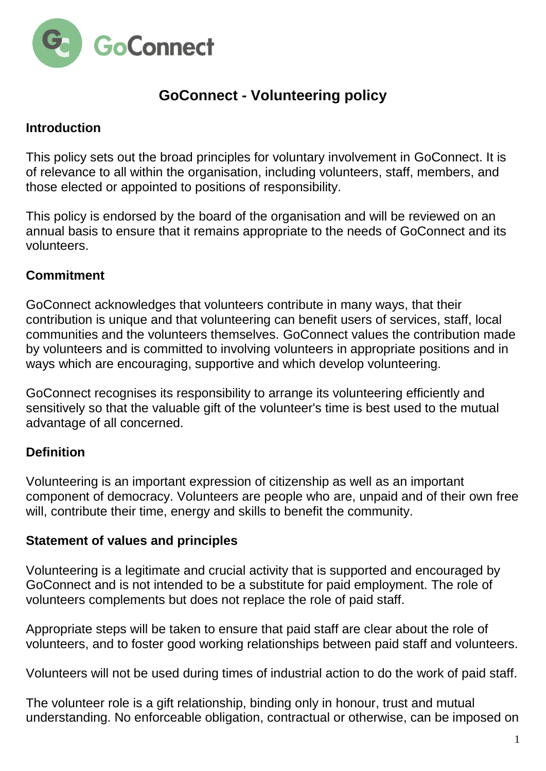

# **GoConnect - Volunteering policy**

## **Introduction**

This policy sets out the broad principles for voluntary involvement in GoConnect. It is of relevance to all within the organisation, including volunteers, staff, members, and those elected or appointed to positions of responsibility.

This policy is endorsed by the board of the organisation and will be reviewed on an annual basis to ensure that it remains appropriate to the needs of GoConnect and its volunteers.

## **Commitment**

GoConnect acknowledges that volunteers contribute in many ways, that their contribution is unique and that volunteering can benefit users of services, staff, local communities and the volunteers themselves. GoConnect values the contribution made by volunteers and is committed to involving volunteers in appropriate positions and in ways which are encouraging, supportive and which develop volunteering.

GoConnect recognises its responsibility to arrange its volunteering efficiently and sensitively so that the valuable gift of the volunteer's time is best used to the mutual advantage of all concerned.

# **Definition**

Volunteering is an important expression of citizenship as well as an important component of democracy. Volunteers are people who are, unpaid and of their own free will, contribute their time, energy and skills to benefit the community.

#### **Statement of values and principles**

Volunteering is a legitimate and crucial activity that is supported and encouraged by GoConnect and is not intended to be a substitute for paid employment. The role of volunteers complements but does not replace the role of paid staff.

Appropriate steps will be taken to ensure that paid staff are clear about the role of volunteers, and to foster good working relationships between paid staff and volunteers.

Volunteers will not be used during times of industrial action to do the work of paid staff.

The volunteer role is a gift relationship, binding only in honour, trust and mutual understanding. No enforceable obligation, contractual or otherwise, can be imposed on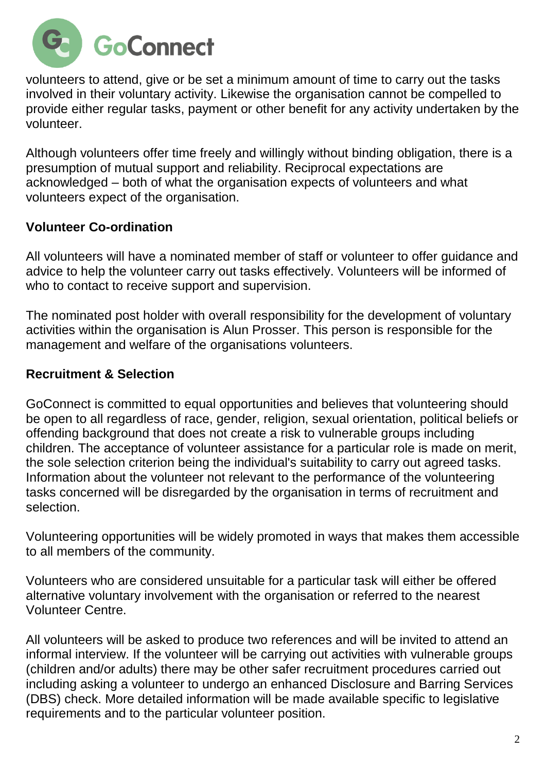

volunteers to attend, give or be set a minimum amount of time to carry out the tasks involved in their voluntary activity. Likewise the organisation cannot be compelled to provide either regular tasks, payment or other benefit for any activity undertaken by the volunteer.

Although volunteers offer time freely and willingly without binding obligation, there is a presumption of mutual support and reliability. Reciprocal expectations are acknowledged – both of what the organisation expects of volunteers and what volunteers expect of the organisation.

## **Volunteer Co-ordination**

All volunteers will have a nominated member of staff or volunteer to offer guidance and advice to help the volunteer carry out tasks effectively. Volunteers will be informed of who to contact to receive support and supervision.

The nominated post holder with overall responsibility for the development of voluntary activities within the organisation is Alun Prosser. This person is responsible for the management and welfare of the organisations volunteers.

#### **Recruitment & Selection**

GoConnect is committed to equal opportunities and believes that volunteering should be open to all regardless of race, gender, religion, sexual orientation, political beliefs or offending background that does not create a risk to vulnerable groups including children. The acceptance of volunteer assistance for a particular role is made on merit, the sole selection criterion being the individual's suitability to carry out agreed tasks. Information about the volunteer not relevant to the performance of the volunteering tasks concerned will be disregarded by the organisation in terms of recruitment and selection.

Volunteering opportunities will be widely promoted in ways that makes them accessible to all members of the community.

Volunteers who are considered unsuitable for a particular task will either be offered alternative voluntary involvement with the organisation or referred to the nearest Volunteer Centre.

All volunteers will be asked to produce two references and will be invited to attend an informal interview. If the volunteer will be carrying out activities with vulnerable groups (children and/or adults) there may be other safer recruitment procedures carried out including asking a volunteer to undergo an enhanced Disclosure and Barring Services (DBS) check. More detailed information will be made available specific to legislative requirements and to the particular volunteer position.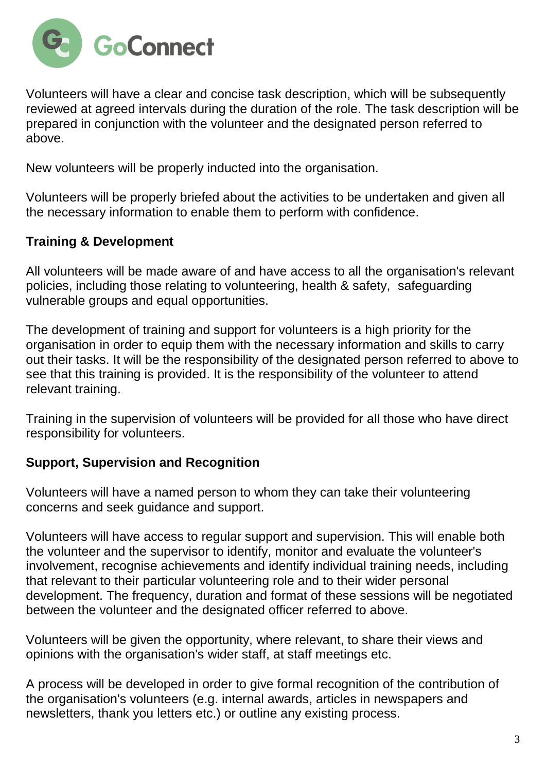

Volunteers will have a clear and concise task description, which will be subsequently reviewed at agreed intervals during the duration of the role. The task description will be prepared in conjunction with the volunteer and the designated person referred to above.

New volunteers will be properly inducted into the organisation.

Volunteers will be properly briefed about the activities to be undertaken and given all the necessary information to enable them to perform with confidence.

# **Training & Development**

All volunteers will be made aware of and have access to all the organisation's relevant policies, including those relating to volunteering, health & safety, safeguarding vulnerable groups and equal opportunities.

The development of training and support for volunteers is a high priority for the organisation in order to equip them with the necessary information and skills to carry out their tasks. It will be the responsibility of the designated person referred to above to see that this training is provided. It is the responsibility of the volunteer to attend relevant training.

Training in the supervision of volunteers will be provided for all those who have direct responsibility for volunteers.

# **Support, Supervision and Recognition**

Volunteers will have a named person to whom they can take their volunteering concerns and seek guidance and support.

Volunteers will have access to regular support and supervision. This will enable both the volunteer and the supervisor to identify, monitor and evaluate the volunteer's involvement, recognise achievements and identify individual training needs, including that relevant to their particular volunteering role and to their wider personal development. The frequency, duration and format of these sessions will be negotiated between the volunteer and the designated officer referred to above.

Volunteers will be given the opportunity, where relevant, to share their views and opinions with the organisation's wider staff, at staff meetings etc.

A process will be developed in order to give formal recognition of the contribution of the organisation's volunteers (e.g. internal awards, articles in newspapers and newsletters, thank you letters etc.) or outline any existing process.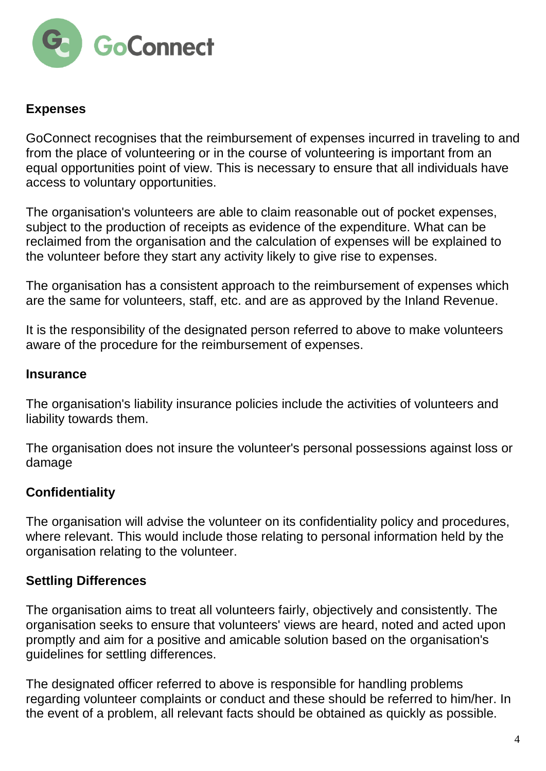

## **Expenses**

GoConnect recognises that the reimbursement of expenses incurred in traveling to and from the place of volunteering or in the course of volunteering is important from an equal opportunities point of view. This is necessary to ensure that all individuals have access to voluntary opportunities.

The organisation's volunteers are able to claim reasonable out of pocket expenses, subject to the production of receipts as evidence of the expenditure. What can be reclaimed from the organisation and the calculation of expenses will be explained to the volunteer before they start any activity likely to give rise to expenses.

The organisation has a consistent approach to the reimbursement of expenses which are the same for volunteers, staff, etc. and are as approved by the Inland Revenue.

It is the responsibility of the designated person referred to above to make volunteers aware of the procedure for the reimbursement of expenses.

#### **Insurance**

The organisation's liability insurance policies include the activities of volunteers and liability towards them.

The organisation does not insure the volunteer's personal possessions against loss or damage

# **Confidentiality**

The organisation will advise the volunteer on its confidentiality policy and procedures, where relevant. This would include those relating to personal information held by the organisation relating to the volunteer.

# **Settling Differences**

The organisation aims to treat all volunteers fairly, objectively and consistently. The organisation seeks to ensure that volunteers' views are heard, noted and acted upon promptly and aim for a positive and amicable solution based on the organisation's guidelines for settling differences.

The designated officer referred to above is responsible for handling problems regarding volunteer complaints or conduct and these should be referred to him/her. In the event of a problem, all relevant facts should be obtained as quickly as possible.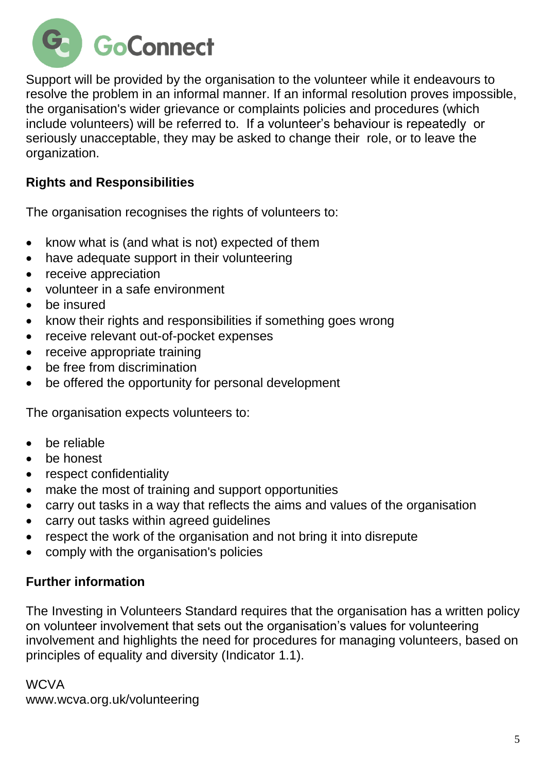

Support will be provided by the organisation to the volunteer while it endeavours to resolve the problem in an informal manner. If an informal resolution proves impossible, the organisation's wider grievance or complaints policies and procedures (which include volunteers) will be referred to. If a volunteer's behaviour is repeatedly or seriously unacceptable, they may be asked to change their role, or to leave the organization.

# **Rights and Responsibilities**

The organisation recognises the rights of volunteers to:

- know what is (and what is not) expected of them
- have adequate support in their volunteering
- receive appreciation
- volunteer in a safe environment
- be insured
- know their rights and responsibilities if something goes wrong
- receive relevant out-of-pocket expenses
- receive appropriate training
- be free from discrimination
- be offered the opportunity for personal development

The organisation expects volunteers to:

- be reliable
- be honest
- respect confidentiality
- make the most of training and support opportunities
- carry out tasks in a way that reflects the aims and values of the organisation
- carry out tasks within agreed guidelines
- respect the work of the organisation and not bring it into disrepute
- comply with the organisation's policies

#### **Further information**

The [Investing in Volunteers Standard](http://iiv.investinginvolunteers.org.uk/) requires that the organisation has a written policy on volunteer involvement that sets out the organisation's values for volunteering involvement and highlights the need for procedures for managing volunteers, based on principles of equality and diversity (Indicator 1.1).

**WCVA** [www.wcva.org.uk/volunteering](http://www.wcva.org.uk/volunteering)